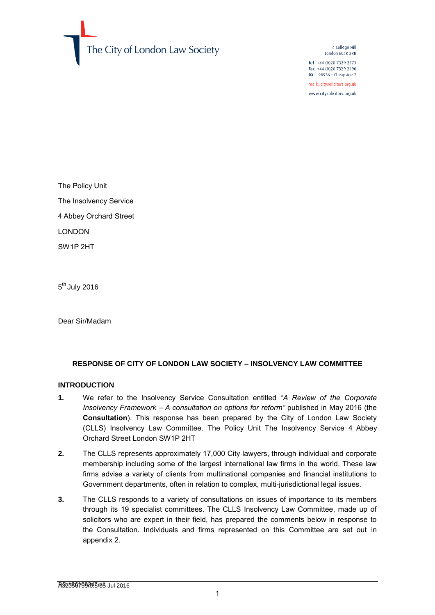

4 College Hill London EC4R 2RB

 $I = 1 + 44 (0)2073292173$ Fax +44 (0) 20 7329 2190 DX 98936 - Cheapside 2

mail@citysolicitors.org.uk

www.citysolicitors.org.uk

The Policy Unit The Insolvency Service 4 Abbey Orchard Street LONDON SW1P 2HT

5<sup>th</sup> July 2016

Dear Sir/Madam

## **RESPONSE OF CITY OF LONDON LAW SOCIETY – INSOLVENCY LAW COMMITTEE**

#### **INTRODUCTION**

- **1.** We refer to the Insolvency Service Consultation entitled "*A Review of the Corporate Insolvency Framework – A consultation on options for reform"* published in May 2016 (the **Consultation**). This response has been prepared by the City of London Law Society (CLLS) Insolvency Law Committee. The Policy Unit The Insolvency Service 4 Abbey Orchard Street London SW1P 2HT
- **2.** The CLLS represents approximately 17,000 City lawyers, through individual and corporate membership including some of the largest international law firms in the world. These law firms advise a variety of clients from multinational companies and financial institutions to Government departments, often in relation to complex, multi-jurisdictional legal issues.
- **3.** The CLLS responds to a variety of consultations on issues of importance to its members through its 19 specialist committees. The CLLS Insolvency Law Committee, made up of solicitors who are expert in their field, has prepared the comments below in response to the Consultation. Individuals and firms represented on this Committee are set out in appendix 2.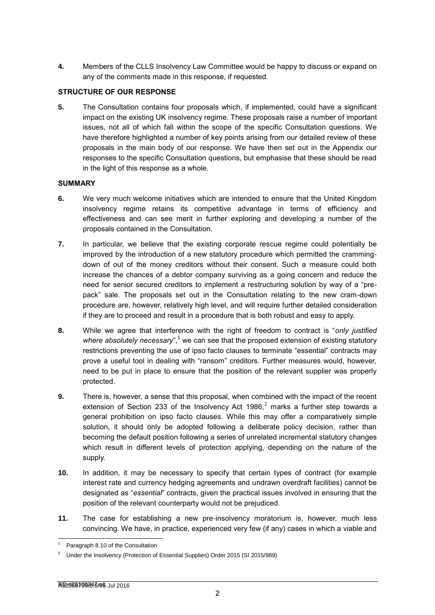**4.** Members of the CLLS Insolvency Law Committee would be happy to discuss or expand on any of the comments made in this response, if requested.

## **STRUCTURE OF OUR RESPONSE**

**5.** The Consultation contains four proposals which, if implemented, could have a significant impact on the existing UK insolvency regime. These proposals raise a number of important issues, not all of which fall within the scope of the specific Consultation questions. We have therefore highlighted a number of key points arising from our detailed review of these proposals in the main body of our response. We have then set out in the Appendix our responses to the specific Consultation questions, but emphasise that these should be read in the light of this response as a whole.

#### **SUMMARY**

- **6.** We very much welcome initiatives which are intended to ensure that the United Kingdom insolvency regime retains its competitive advantage in terms of efficiency and effectiveness and can see merit in further exploring and developing a number of the proposals contained in the Consultation.
- **7.** In particular, we believe that the existing corporate rescue regime could potentially be improved by the introduction of a new statutory procedure which permitted the crammingdown of out of the money creditors without their consent. Such a measure could both increase the chances of a debtor company surviving as a going concern and reduce the need for senior secured creditors to implement a restructuring solution by way of a "prepack" sale. The proposals set out in the Consultation relating to the new cram-down procedure are, however, relatively high level, and will require further detailed consideration if they are to proceed and result in a procedure that is both robust and easy to apply.
- **8.** While we agree that interference with the right of freedom to contract is "*only justified where absolutely necessary*",<sup>1</sup> we can see that the proposed extension of existing statutory restrictions preventing the use of ipso facto clauses to terminate "essential" contracts may prove a useful tool in dealing with "ransom" creditors. Further measures would, however, need to be put in place to ensure that the position of the relevant supplier was properly protected.
- **9.** There is, however, a sense that this proposal, when combined with the impact of the recent extension of Section 233 of the Insolvency Act 1986, $<sup>2</sup>$  marks a further step towards a</sup> general prohibition on ipso facto clauses. While this may offer a comparatively simple solution, it should only be adopted following a deliberate policy decision, rather than becoming the default position following a series of unrelated incremental statutory changes which result in different levels of protection applying, depending on the nature of the supply.
- **10.** In addition, it may be necessary to specify that certain types of contract (for example interest rate and currency hedging agreements and undrawn overdraft facilities) cannot be designated as "*essential*" contracts, given the practical issues involved in ensuring that the position of the relevant counterparty would not be prejudiced.
- **11.** The case for establishing a new pre-insolvency moratorium is, however, much less convincing. We have, in practice, experienced very few (if any) cases in which a viable and

<sup>-</sup>Paragraph 8.10 of the Consultation

<sup>2</sup> Under the Insolvency (Protection of Essential Supplies) Order 2015 (SI 2015/989)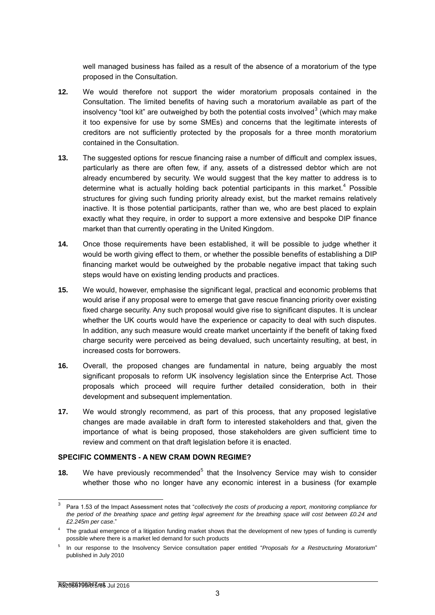well managed business has failed as a result of the absence of a moratorium of the type proposed in the Consultation.

- **12.** We would therefore not support the wider moratorium proposals contained in the Consultation. The limited benefits of having such a moratorium available as part of the insolvency "tool kit" are outweighed by both the potential costs involved<sup>3</sup> (which may make it too expensive for use by some SMEs) and concerns that the legitimate interests of creditors are not sufficiently protected by the proposals for a three month moratorium contained in the Consultation.
- **13.** The suggested options for rescue financing raise a number of difficult and complex issues, particularly as there are often few, if any, assets of a distressed debtor which are not already encumbered by security. We would suggest that the key matter to address is to determine what is actually holding back potential participants in this market.<sup>4</sup> Possible structures for giving such funding priority already exist, but the market remains relatively inactive. It is those potential participants, rather than we, who are best placed to explain exactly what they require, in order to support a more extensive and bespoke DIP finance market than that currently operating in the United Kingdom.
- **14.** Once those requirements have been established, it will be possible to judge whether it would be worth giving effect to them, or whether the possible benefits of establishing a DIP financing market would be outweighed by the probable negative impact that taking such steps would have on existing lending products and practices.
- **15.** We would, however, emphasise the significant legal, practical and economic problems that would arise if any proposal were to emerge that gave rescue financing priority over existing fixed charge security. Any such proposal would give rise to significant disputes. It is unclear whether the UK courts would have the experience or capacity to deal with such disputes. In addition, any such measure would create market uncertainty if the benefit of taking fixed charge security were perceived as being devalued, such uncertainty resulting, at best, in increased costs for borrowers.
- **16.** Overall, the proposed changes are fundamental in nature, being arguably the most significant proposals to reform UK insolvency legislation since the Enterprise Act. Those proposals which proceed will require further detailed consideration, both in their development and subsequent implementation.
- **17.** We would strongly recommend, as part of this process, that any proposed legislative changes are made available in draft form to interested stakeholders and that, given the importance of what is being proposed, those stakeholders are given sufficient time to review and comment on that draft legislation before it is enacted.

#### **SPECIFIC COMMENTS - A NEW CRAM DOWN REGIME?**

**18.** We have previously recommended<sup>5</sup> that the Insolvency Service may wish to consider whether those who no longer have any economic interest in a business (for example

 $\frac{1}{3}$ Para 1.53 of the Impact Assessment notes that "*collectively the costs of producing a report, monitoring compliance for the period of the breathing space and getting legal agreement for the breathing space will cost between £0.24 and £2.245m per case*."

<sup>4</sup> The gradual emergence of a litigation funding market shows that the development of new types of funding is currently possible where there is a market led demand for such products

<sup>5</sup> In our response to the Insolvency Service consultation paper entitled "*Proposals for a Restructuring Moratorium*" published in July 2010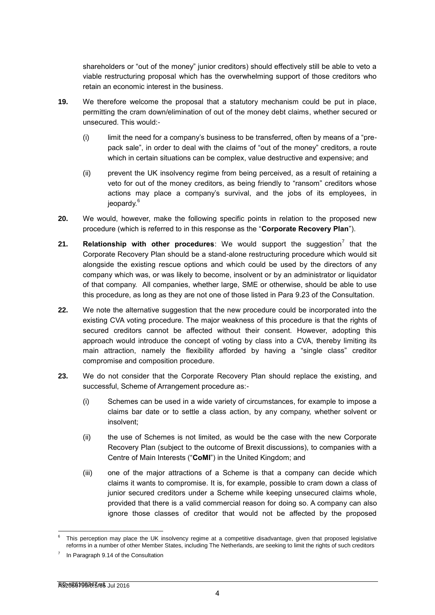shareholders or "out of the money" junior creditors) should effectively still be able to veto a viable restructuring proposal which has the overwhelming support of those creditors who retain an economic interest in the business.

- **19.** We therefore welcome the proposal that a statutory mechanism could be put in place, permitting the cram down/elimination of out of the money debt claims, whether secured or unsecured. This would:-
	- (i) limit the need for a company's business to be transferred, often by means of a "prepack sale", in order to deal with the claims of "out of the money" creditors, a route which in certain situations can be complex, value destructive and expensive; and
	- (ii) prevent the UK insolvency regime from being perceived, as a result of retaining a veto for out of the money creditors, as being friendly to "ransom" creditors whose actions may place a company's survival, and the jobs of its employees, in jeopardy.<sup>6</sup>
- **20.** We would, however, make the following specific points in relation to the proposed new procedure (which is referred to in this response as the "**Corporate Recovery Plan**").
- **21.** Relationship with other procedures: We would support the suggestion<sup>7</sup> that the Corporate Recovery Plan should be a stand-alone restructuring procedure which would sit alongside the existing rescue options and which could be used by the directors of any company which was, or was likely to become, insolvent or by an administrator or liquidator of that company. All companies, whether large, SME or otherwise, should be able to use this procedure, as long as they are not one of those listed in Para 9.23 of the Consultation.
- **22.** We note the alternative suggestion that the new procedure could be incorporated into the existing CVA voting procedure. The major weakness of this procedure is that the rights of secured creditors cannot be affected without their consent. However, adopting this approach would introduce the concept of voting by class into a CVA, thereby limiting its main attraction, namely the flexibility afforded by having a "single class" creditor compromise and composition procedure.
- **23.** We do not consider that the Corporate Recovery Plan should replace the existing, and successful, Scheme of Arrangement procedure as:-
	- (i) Schemes can be used in a wide variety of circumstances, for example to impose a claims bar date or to settle a class action, by any company, whether solvent or insolvent;
	- (ii) the use of Schemes is not limited, as would be the case with the new Corporate Recovery Plan (subject to the outcome of Brexit discussions), to companies with a Centre of Main Interests ("**CoMI**") in the United Kingdom; and
	- (iii) one of the major attractions of a Scheme is that a company can decide which claims it wants to compromise. It is, for example, possible to cram down a class of junior secured creditors under a Scheme while keeping unsecured claims whole, provided that there is a valid commercial reason for doing so. A company can also ignore those classes of creditor that would not be affected by the proposed

<sup>6</sup> This perception may place the UK insolvency regime at a competitive disadvantage, given that proposed legislative reforms in a number of other Member States, including The Netherlands, are seeking to limit the rights of such creditors

<sup>7</sup> In Paragraph 9.14 of the Consultation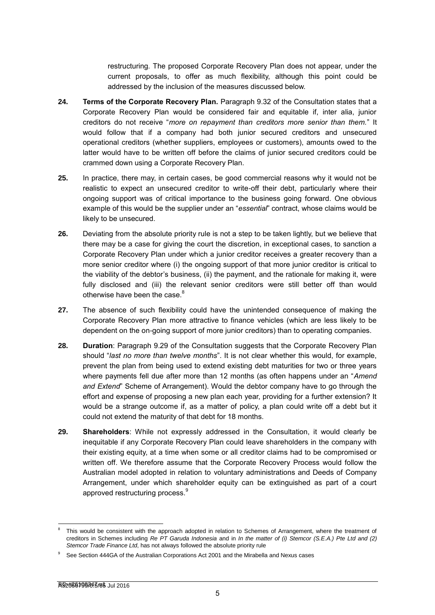restructuring*.* The proposed Corporate Recovery Plan does not appear, under the current proposals, to offer as much flexibility, although this point could be addressed by the inclusion of the measures discussed below.

- **24. Terms of the Corporate Recovery Plan.** Paragraph 9.32 of the Consultation states that a Corporate Recovery Plan would be considered fair and equitable if, inter alia, junior creditors do not receive "*more on repayment than creditors more senior than them.*" It would follow that if a company had both junior secured creditors and unsecured operational creditors (whether suppliers, employees or customers), amounts owed to the latter would have to be written off before the claims of junior secured creditors could be crammed down using a Corporate Recovery Plan.
- **25.** In practice, there may, in certain cases, be good commercial reasons why it would not be realistic to expect an unsecured creditor to write-off their debt, particularly where their ongoing support was of critical importance to the business going forward. One obvious example of this would be the supplier under an "*essential*" contract, whose claims would be likely to be unsecured.
- **26.** Deviating from the absolute priority rule is not a step to be taken lightly, but we believe that there may be a case for giving the court the discretion, in exceptional cases, to sanction a Corporate Recovery Plan under which a junior creditor receives a greater recovery than a more senior creditor where (i) the ongoing support of that more junior creditor is critical to the viability of the debtor's business, (ii) the payment, and the rationale for making it, were fully disclosed and (iii) the relevant senior creditors were still better off than would otherwise have been the case.<sup>8</sup>
- **27.** The absence of such flexibility could have the unintended consequence of making the Corporate Recovery Plan more attractive to finance vehicles (which are less likely to be dependent on the on-going support of more junior creditors) than to operating companies.
- **28. Duration**: Paragraph 9.29 of the Consultation suggests that the Corporate Recovery Plan should "*last no more than twelve months*". It is not clear whether this would, for example, prevent the plan from being used to extend existing debt maturities for two or three years where payments fell due after more than 12 months (as often happens under an "*Amend and Extend*" Scheme of Arrangement). Would the debtor company have to go through the effort and expense of proposing a new plan each year, providing for a further extension? It would be a strange outcome if, as a matter of policy, a plan could write off a debt but it could not extend the maturity of that debt for 18 months.
- **29. Shareholders**: While not expressly addressed in the Consultation, it would clearly be inequitable if any Corporate Recovery Plan could leave shareholders in the company with their existing equity, at a time when some or all creditor claims had to be compromised or written off. We therefore assume that the Corporate Recovery Process would follow the Australian model adopted in relation to voluntary administrations and Deeds of Company Arrangement, under which shareholder equity can be extinguished as part of a court approved restructuring process.<sup>9</sup>

<sup>8</sup> This would be consistent with the approach adopted in relation to Schemes of Arrangement, where the treatment of creditors in Schemes including *[Re PT Garuda Indonesia](http://linkdoc/documentumservices/link.asp?Docbase=docbase4_prod&DocNumber=A15633523&Version=CURRENT)* and in *[In the matter of \(i\) Stemcor \(S.E.A.\) Pte Ltd and \(2\)](https://www.lawtel.com/UK/FullText/AC0141559ChD(CompaniesCt).pdf)  [Stemcor Trade Finance Ltd](https://www.lawtel.com/UK/FullText/AC0141559ChD(CompaniesCt).pdf)*, has not always followed the absolute priority rule

<sup>9</sup> See Section 444GA of the Australian Corporations Act 2001 and the Mirabella and Nexus cases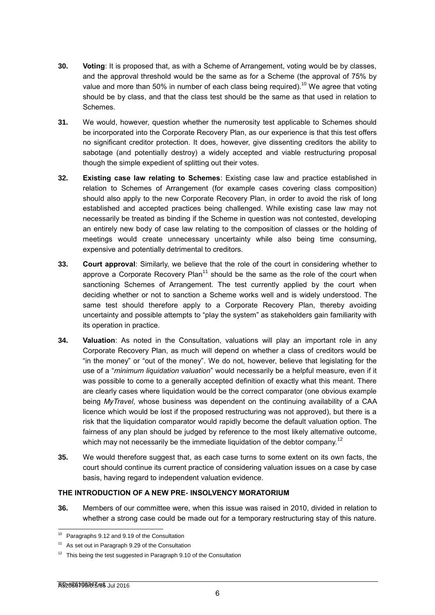- **30. Voting**: It is proposed that, as with a Scheme of Arrangement, voting would be by classes, and the approval threshold would be the same as for a Scheme (the approval of 75% by value and more than 50% in number of each class being required).<sup>10</sup> We agree that voting should be by class, and that the class test should be the same as that used in relation to Schemes.
- **31.** We would, however, question whether the numerosity test applicable to Schemes should be incorporated into the Corporate Recovery Plan, as our experience is that this test offers no significant creditor protection. It does, however, give dissenting creditors the ability to sabotage (and potentially destroy) a widely accepted and viable restructuring proposal though the simple expedient of splitting out their votes.
- **32. Existing case law relating to Schemes**: Existing case law and practice established in relation to Schemes of Arrangement (for example cases covering class composition) should also apply to the new Corporate Recovery Plan, in order to avoid the risk of long established and accepted practices being challenged. While existing case law may not necessarily be treated as binding if the Scheme in question was not contested, developing an entirely new body of case law relating to the composition of classes or the holding of meetings would create unnecessary uncertainty while also being time consuming, expensive and potentially detrimental to creditors.
- **33. Court approval**: Similarly, we believe that the role of the court in considering whether to approve a Corporate Recovery Plan<sup>11</sup> should be the same as the role of the court when sanctioning Schemes of Arrangement. The test currently applied by the court when deciding whether or not to sanction a Scheme works well and is widely understood. The same test should therefore apply to a Corporate Recovery Plan, thereby avoiding uncertainty and possible attempts to "play the system" as stakeholders gain familiarity with its operation in practice.
- **34. Valuation**: As noted in the Consultation, valuations will play an important role in any Corporate Recovery Plan, as much will depend on whether a class of creditors would be "in the money" or "out of the money". We do not, however, believe that legislating for the use of a "*minimum liquidation valuation*" would necessarily be a helpful measure, even if it was possible to come to a generally accepted definition of exactly what this meant. There are clearly cases where liquidation would be the correct comparator (one obvious example being *MyTravel*, whose business was dependent on the continuing availability of a CAA licence which would be lost if the proposed restructuring was not approved), but there is a risk that the liquidation comparator would rapidly become the default valuation option. The fairness of any plan should be judged by reference to the most likely alternative outcome, which may not necessarily be the immediate liquidation of the debtor company.<sup>12</sup>
- **35.** We would therefore suggest that, as each case turns to some extent on its own facts, the court should continue its current practice of considering valuation issues on a case by case basis, having regard to independent valuation evidence.

# **THE INTRODUCTION OF A NEW PRE- INSOLVENCY MORATORIUM**

**36.** Members of our committee were, when this issue was raised in 2010, divided in relation to whether a strong case could be made out for a temporary restructuring stay of this nature.

<sup>&</sup>lt;sup>10</sup> Paragraphs 9.12 and 9.19 of the Consultation

<sup>11</sup> As set out in Paragraph 9.29 of the Consultation

<sup>&</sup>lt;sup>12</sup> This being the test suggested in Paragraph 9.10 of the Consultation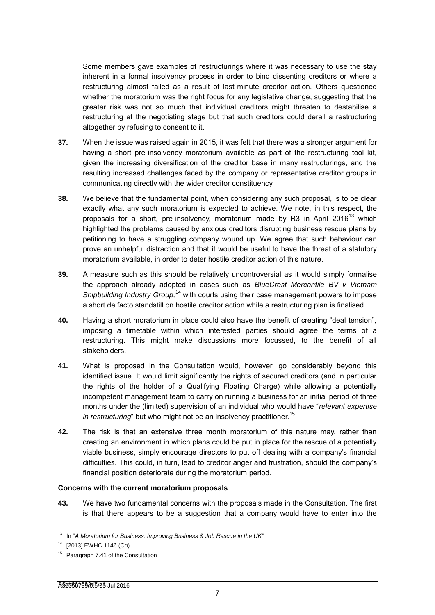Some members gave examples of restructurings where it was necessary to use the stay inherent in a formal insolvency process in order to bind dissenting creditors or where a restructuring almost failed as a result of last-minute creditor action. Others questioned whether the moratorium was the right focus for any legislative change, suggesting that the greater risk was not so much that individual creditors might threaten to destabilise a restructuring at the negotiating stage but that such creditors could derail a restructuring altogether by refusing to consent to it.

- **37.** When the issue was raised again in 2015, it was felt that there was a stronger argument for having a short pre-insolvency moratorium available as part of the restructuring tool kit, given the increasing diversification of the creditor base in many restructurings, and the resulting increased challenges faced by the company or representative creditor groups in communicating directly with the wider creditor constituency.
- **38.** We believe that the fundamental point, when considering any such proposal, is to be clear exactly what any such moratorium is expected to achieve. We note, in this respect, the proposals for a short, pre-insolvency, moratorium made by R3 in April 2016<sup>13</sup> which highlighted the problems caused by anxious creditors disrupting business rescue plans by petitioning to have a struggling company wound up. We agree that such behaviour can prove an unhelpful distraction and that it would be useful to have the threat of a statutory moratorium available, in order to deter hostile creditor action of this nature.
- **39.** A measure such as this should be relatively uncontroversial as it would simply formalise the approach already adopted in cases such as *BlueCrest Mercantile BV v [Vietnam](http://www.lawtel.com/UK/FullText/AC0138248ChD.pdf)*  [Shipbuilding Industry Group,](http://www.lawtel.com/UK/FullText/AC0138248ChD.pdf)<sup>14</sup> with courts using their case management powers to impose a short de facto standstill on hostile creditor action while a restructuring plan is finalised.
- **40.** Having a short moratorium in place could also have the benefit of creating "deal tension", imposing a timetable within which interested parties should agree the terms of a restructuring. This might make discussions more focussed, to the benefit of all stakeholders.
- **41.** What is proposed in the Consultation would, however, go considerably beyond this identified issue. It would limit significantly the rights of secured creditors (and in particular the rights of the holder of a Qualifying Floating Charge) while allowing a potentially incompetent management team to carry on running a business for an initial period of three months under the (limited) supervision of an individual who would have "*relevant expertise in restructuring*" but who might not be an insolvency practitioner.<sup>15</sup>
- **42.** The risk is that an extensive three month moratorium of this nature may, rather than creating an environment in which plans could be put in place for the rescue of a potentially viable business, simply encourage directors to put off dealing with a company's financial difficulties. This could, in turn, lead to creditor anger and frustration, should the company's financial position deteriorate during the moratorium period.

#### **Concerns with the current moratorium proposals**

**43.** We have two fundamental concerns with the proposals made in the Consultation. The first is that there appears to be a suggestion that a company would have to enter into the

<sup>1</sup> <sup>13</sup> In "A Moratorium for Business: Improving Business & Job Rescue in the UK"

<sup>14</sup> [2013] EWHC 1146 (Ch)

<sup>&</sup>lt;sup>15</sup> Paragraph 7.41 of the Consultation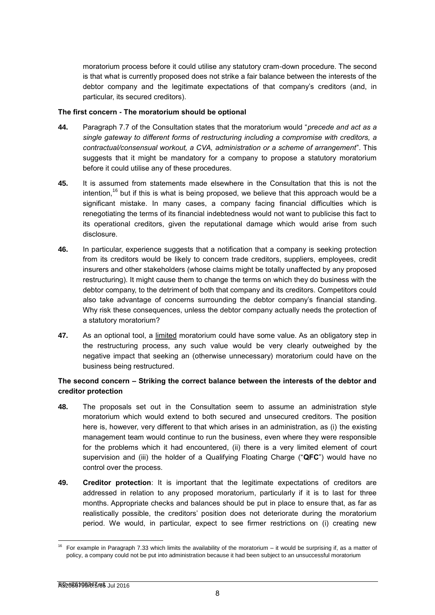moratorium process before it could utilise any statutory cram-down procedure. The second is that what is currently proposed does not strike a fair balance between the interests of the debtor company and the legitimate expectations of that company's creditors (and, in particular, its secured creditors).

#### **The first concern - The moratorium should be optional**

- **44.** Paragraph 7.7 of the Consultation states that the moratorium would "*precede and act as a single gateway to different forms of restructuring including a compromise with creditors, a contractual/consensual workout, a CVA, administration or a scheme of arrangement*". This suggests that it might be mandatory for a company to propose a statutory moratorium before it could utilise any of these procedures.
- **45.** It is assumed from statements made elsewhere in the Consultation that this is not the intention,<sup>16</sup> but if this is what is being proposed, we believe that this approach would be a significant mistake. In many cases, a company facing financial difficulties which is renegotiating the terms of its financial indebtedness would not want to publicise this fact to its operational creditors, given the reputational damage which would arise from such disclosure.
- **46.** In particular, experience suggests that a notification that a company is seeking protection from its creditors would be likely to concern trade creditors, suppliers, employees, credit insurers and other stakeholders (whose claims might be totally unaffected by any proposed restructuring). It might cause them to change the terms on which they do business with the debtor company, to the detriment of both that company and its creditors. Competitors could also take advantage of concerns surrounding the debtor company's financial standing. Why risk these consequences, unless the debtor company actually needs the protection of a statutory moratorium?
- **47.** As an optional tool, a limited moratorium could have some value. As an obligatory step in the restructuring process, any such value would be very clearly outweighed by the negative impact that seeking an (otherwise unnecessary) moratorium could have on the business being restructured.

# **The second concern – Striking the correct balance between the interests of the debtor and creditor protection**

- **48.** The proposals set out in the Consultation seem to assume an administration style moratorium which would extend to both secured and unsecured creditors. The position here is, however, very different to that which arises in an administration, as (i) the existing management team would continue to run the business, even where they were responsible for the problems which it had encountered, (ii) there is a very limited element of court supervision and (iii) the holder of a Qualifying Floating Charge ("**QFC**") would have no control over the process.
- **49. Creditor protection**: It is important that the legitimate expectations of creditors are addressed in relation to any proposed moratorium, particularly if it is to last for three months. Appropriate checks and balances should be put in place to ensure that, as far as realistically possible, the creditors' position does not deteriorate during the moratorium period. We would, in particular, expect to see firmer restrictions on (i) creating new

<sup>-</sup><sup>16</sup> For example in Paragraph 7.33 which limits the availability of the moratorium – it would be surprising if, as a matter of policy, a company could not be put into administration because it had been subject to an unsuccessful moratorium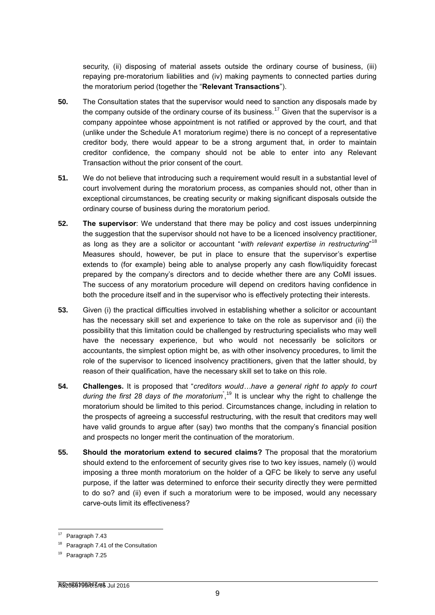security, (ii) disposing of material assets outside the ordinary course of business, (iii) repaying pre-moratorium liabilities and (iv) making payments to connected parties during the moratorium period (together the "**Relevant Transactions**").

- **50.** The Consultation states that the supervisor would need to sanction any disposals made by the company outside of the ordinary course of its business.<sup>17</sup> Given that the supervisor is a company appointee whose appointment is not ratified or approved by the court, and that (unlike under the Schedule A1 moratorium regime) there is no concept of a representative creditor body, there would appear to be a strong argument that, in order to maintain creditor confidence, the company should not be able to enter into any Relevant Transaction without the prior consent of the court.
- **51.** We do not believe that introducing such a requirement would result in a substantial level of court involvement during the moratorium process, as companies should not, other than in exceptional circumstances, be creating security or making significant disposals outside the ordinary course of business during the moratorium period.
- **52. The supervisor**: We understand that there may be policy and cost issues underpinning the suggestion that the supervisor should not have to be a licenced insolvency practitioner, as long as they are a solicitor or accountant "*with relevant expertise in restructuring*" 18 Measures should, however, be put in place to ensure that the supervisor's expertise extends to (for example) being able to analyse properly any cash flow/liquidity forecast prepared by the company's directors and to decide whether there are any CoMI issues. The success of any moratorium procedure will depend on creditors having confidence in both the procedure itself and in the supervisor who is effectively protecting their interests.
- **53.** Given (i) the practical difficulties involved in establishing whether a solicitor or accountant has the necessary skill set and experience to take on the role as supervisor and (ii) the possibility that this limitation could be challenged by restructuring specialists who may well have the necessary experience, but who would not necessarily be solicitors or accountants, the simplest option might be, as with other insolvency procedures, to limit the role of the supervisor to licenced insolvency practitioners, given that the latter should, by reason of their qualification, have the necessary skill set to take on this role.
- **54. Challenges.** It is proposed that "*creditors would…have a general right to apply to court*  during the first 28 days of the moratorium<sup>"</sup>,<sup>19</sup> It is unclear why the right to challenge the moratorium should be limited to this period. Circumstances change, including in relation to the prospects of agreeing a successful restructuring, with the result that creditors may well have valid grounds to argue after (say) two months that the company's financial position and prospects no longer merit the continuation of the moratorium.
- **55. Should the moratorium extend to secured claims?** The proposal that the moratorium should extend to the enforcement of security gives rise to two key issues, namely (i) would imposing a three month moratorium on the holder of a QFC be likely to serve any useful purpose, if the latter was determined to enforce their security directly they were permitted to do so? and (ii) even if such a moratorium were to be imposed, would any necessary carve-outs limit its effectiveness?

<sup>&</sup>lt;sup>17</sup> Paragraph 7.43

<sup>&</sup>lt;sup>18</sup> Paragraph 7.41 of the Consultation

Paragraph 7.25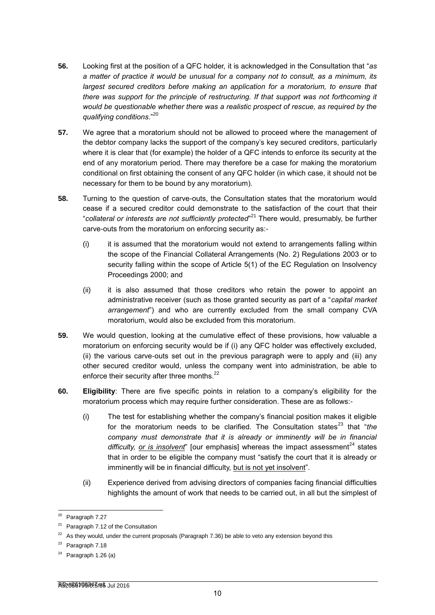- **56.** Looking first at the position of a QFC holder, it is acknowledged in the Consultation that "*as a matter of practice it would be unusual for a company not to consult, as a minimum, its largest secured creditors before making an application for a moratorium, to ensure that there was support for the principle of restructuring. If that support was not forthcoming it would be questionable whether there was a realistic prospect of rescue, as required by the qualifying conditions*."<sup>20</sup>
- **57.** We agree that a moratorium should not be allowed to proceed where the management of the debtor company lacks the support of the company's key secured creditors, particularly where it is clear that (for example) the holder of a QFC intends to enforce its security at the end of any moratorium period. There may therefore be a case for making the moratorium conditional on first obtaining the consent of any QFC holder (in which case, it should not be necessary for them to be bound by any moratorium).
- **58.** Turning to the question of carve-outs, the Consultation states that the moratorium would cease if a secured creditor could demonstrate to the satisfaction of the court that their "*collateral or interests are not sufficiently protected*" <sup>21</sup> There would, presumably, be further carve-outs from the moratorium on enforcing security as:-
	- $(i)$  it is assumed that the moratorium would not extend to arrangements falling within the scope of the Financial Collateral Arrangements (No. 2) Regulations 2003 or to security falling within the scope of Article 5(1) of the EC Regulation on Insolvency Proceedings 2000; and
	- (ii) it is also assumed that those creditors who retain the power to appoint an administrative receiver (such as those granted security as part of a "*capital market arrangement*") and who are currently excluded from the small company CVA moratorium, would also be excluded from this moratorium.
- **59.** We would question, looking at the cumulative effect of these provisions, how valuable a moratorium on enforcing security would be if (i) any QFC holder was effectively excluded, (ii) the various carve-outs set out in the previous paragraph were to apply and (iii) any other secured creditor would, unless the company went into administration, be able to enforce their security after three months.<sup>22</sup>
- **60. Eligibility**: There are five specific points in relation to a company's eligibility for the moratorium process which may require further consideration. These are as follows:-
	- (i) The test for establishing whether the company's financial position makes it eligible for the moratorium needs to be clarified. The Consultation states<sup>23</sup> that "*the company must demonstrate that it is already or imminently will be in financial difficulty, or is insolvent*" [our emphasis] whereas the impact assessment<sup>24</sup> states that in order to be eligible the company must "satisfy the court that it is already or imminently will be in financial difficulty, but is not yet insolvent".
	- (ii) Experience derived from advising directors of companies facing financial difficulties highlights the amount of work that needs to be carried out, in all but the simplest of

-

<sup>&</sup>lt;sup>20</sup> Paragraph 7.27

<sup>&</sup>lt;sup>21</sup> Paragraph 7.12 of the Consultation

 $22$  As they would, under the current proposals (Paragraph 7.36) be able to veto any extension beyond this

 $23$  Paragraph 7.18

 $24$  Paragraph 1.26 (a)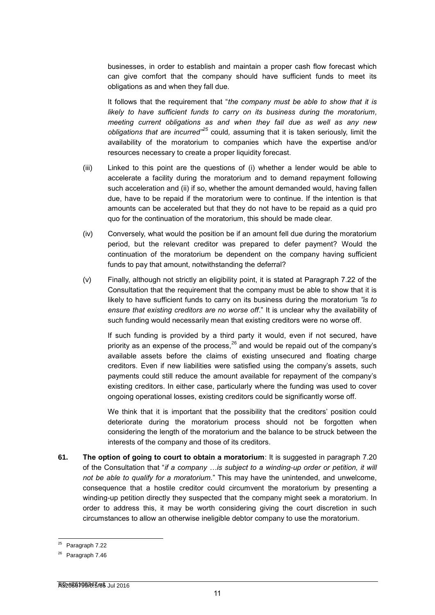businesses, in order to establish and maintain a proper cash flow forecast which can give comfort that the company should have sufficient funds to meet its obligations as and when they fall due.

It follows that the requirement that "*the company must be able to show that it is likely to have sufficient funds to carry on its business during the moratorium, meeting current obligations as and when they fall due as well as any new obligations that are incurred"<sup>25</sup>* could*,* assuming that it is taken seriously, limit the availability of the moratorium to companies which have the expertise and/or resources necessary to create a proper liquidity forecast.

- (iii) Linked to this point are the questions of (i) whether a lender would be able to accelerate a facility during the moratorium and to demand repayment following such acceleration and (ii) if so, whether the amount demanded would, having fallen due, have to be repaid if the moratorium were to continue. If the intention is that amounts can be accelerated but that they do not have to be repaid as a quid pro quo for the continuation of the moratorium, this should be made clear.
- (iv) Conversely, what would the position be if an amount fell due during the moratorium period, but the relevant creditor was prepared to defer payment? Would the continuation of the moratorium be dependent on the company having sufficient funds to pay that amount, notwithstanding the deferral?
- (v) Finally, although not strictly an eligibility point, it is stated at Paragraph 7.22 of the Consultation that the requirement that the company must be able to show that it is likely to have sufficient funds to carry on its business during the moratorium *"is to ensure that existing creditors are no worse off*." It is unclear why the availability of such funding would necessarily mean that existing creditors were no worse off.

If such funding is provided by a third party it would, even if not secured, have priority as an expense of the process,  $^{26}$  and would be repaid out of the company's available assets before the claims of existing unsecured and floating charge creditors. Even if new liabilities were satisfied using the company's assets, such payments could still reduce the amount available for repayment of the company's existing creditors. In either case, particularly where the funding was used to cover ongoing operational losses, existing creditors could be significantly worse off.

We think that it is important that the possibility that the creditors' position could deteriorate during the moratorium process should not be forgotten when considering the length of the moratorium and the balance to be struck between the interests of the company and those of its creditors.

**61. The option of going to court to obtain a moratorium**: It is suggested in paragraph 7.20 of the Consultation that "*if a company …is subject to a winding-up order or petition, it will not be able to qualify for a moratorium.*" This may have the unintended, and unwelcome, consequence that a hostile creditor could circumvent the moratorium by presenting a winding-up petition directly they suspected that the company might seek a moratorium. In order to address this, it may be worth considering giving the court discretion in such circumstances to allow an otherwise ineligible debtor company to use the moratorium.

-

 $25$  Paragraph 7.22

Paragraph 7.46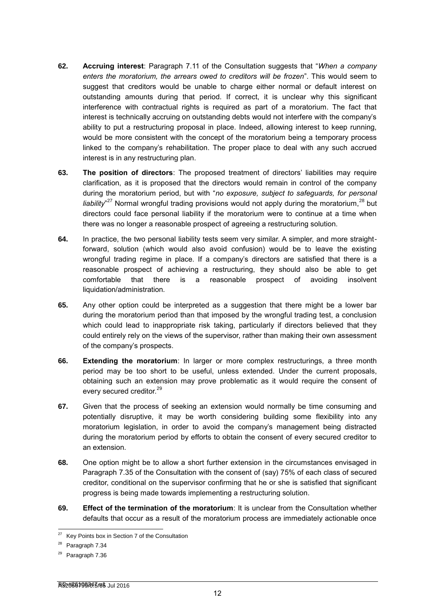- **62. Accruing interest**: Paragraph 7.11 of the Consultation suggests that "*When a company enters the moratorium, the arrears owed to creditors will be frozen*". This would seem to suggest that creditors would be unable to charge either normal or default interest on outstanding amounts during that period. If correct, it is unclear why this significant interference with contractual rights is required as part of a moratorium. The fact that interest is technically accruing on outstanding debts would not interfere with the company's ability to put a restructuring proposal in place. Indeed, allowing interest to keep running, would be more consistent with the concept of the moratorium being a temporary process linked to the company's rehabilitation. The proper place to deal with any such accrued interest is in any restructuring plan.
- **63. The position of directors**: The proposed treatment of directors' liabilities may require clarification, as it is proposed that the directors would remain in control of the company during the moratorium period, but with "*no exposure, subject to safeguards, for personal*  liability<sup>"27</sup> Normal wrongful trading provisions would not apply during the moratorium,<sup>28</sup> but directors could face personal liability if the moratorium were to continue at a time when there was no longer a reasonable prospect of agreeing a restructuring solution.
- **64.** In practice, the two personal liability tests seem very similar. A simpler, and more straightforward, solution (which would also avoid confusion) would be to leave the existing wrongful trading regime in place. If a company's directors are satisfied that there is a reasonable prospect of achieving a restructuring, they should also be able to get comfortable that there is a reasonable prospect of avoiding insolvent liquidation/administration*.*
- **65.** Any other option could be interpreted as a suggestion that there might be a lower bar during the moratorium period than that imposed by the wrongful trading test, a conclusion which could lead to inappropriate risk taking, particularly if directors believed that they could entirely rely on the views of the supervisor, rather than making their own assessment of the company's prospects.
- **66. Extending the moratorium**: In larger or more complex restructurings, a three month period may be too short to be useful, unless extended. Under the current proposals, obtaining such an extension may prove problematic as it would require the consent of every secured creditor.<sup>29</sup>
- **67.** Given that the process of seeking an extension would normally be time consuming and potentially disruptive, it may be worth considering building some flexibility into any moratorium legislation, in order to avoid the company's management being distracted during the moratorium period by efforts to obtain the consent of every secured creditor to an extension.
- **68.** One option might be to allow a short further extension in the circumstances envisaged in Paragraph 7.35 of the Consultation with the consent of (say) 75% of each class of secured creditor, conditional on the supervisor confirming that he or she is satisfied that significant progress is being made towards implementing a restructuring solution.
- **69. Effect of the termination of the moratorium**: It is unclear from the Consultation whether defaults that occur as a result of the moratorium process are immediately actionable once

<sup>&</sup>lt;sup>27</sup> Key Points box in Section 7 of the Consultation

<sup>&</sup>lt;sup>28</sup> Paragraph 7.34

<sup>29</sup> Paragraph 7.36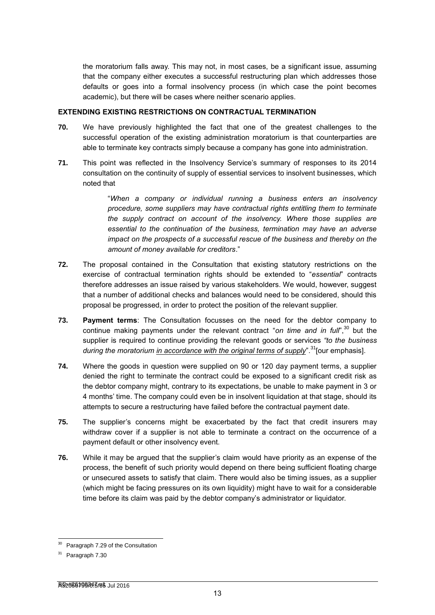the moratorium falls away. This may not, in most cases, be a significant issue, assuming that the company either executes a successful restructuring plan which addresses those defaults or goes into a formal insolvency process (in which case the point becomes academic), but there will be cases where neither scenario applies*.*

#### **EXTENDING EXISTING RESTRICTIONS ON CONTRACTUAL TERMINATION**

- **70.** We have previously highlighted the fact that one of the greatest challenges to the successful operation of the existing administration moratorium is that counterparties are able to terminate key contracts simply because a company has gone into administration.
- **71.** This point was reflected in the Insolvency Service's summary of responses to its 2014 consultation on the continuity of supply of essential services to insolvent businesses, which noted that

"*When a company or individual running a business enters an insolvency procedure, some suppliers may have contractual rights entitling them to terminate the supply contract on account of the insolvency. Where those supplies are essential to the continuation of the business, termination may have an adverse impact on the prospects of a successful rescue of the business and thereby on the amount of money available for creditors*."

- **72.** The proposal contained in the Consultation that existing statutory restrictions on the exercise of contractual termination rights should be extended to "*essential*" contracts therefore addresses an issue raised by various stakeholders. We would, however, suggest that a number of additional checks and balances would need to be considered, should this proposal be progressed, in order to protect the position of the relevant supplier.
- **73. Payment terms**: The Consultation focusses on the need for the debtor company to continue making payments under the relevant contract "*on time and in full*", <sup>30</sup> but the supplier is required to continue providing the relevant goods or services *"to the business during the moratorium in accordance with the original terms of supply*<sup>" 31</sup>[our emphasis].
- **74.** Where the goods in question were supplied on 90 or 120 day payment terms, a supplier denied the right to terminate the contract could be exposed to a significant credit risk as the debtor company might, contrary to its expectations, be unable to make payment in 3 or 4 months' time. The company could even be in insolvent liquidation at that stage, should its attempts to secure a restructuring have failed before the contractual payment date.
- **75.** The supplier's concerns might be exacerbated by the fact that credit insurers may withdraw cover if a supplier is not able to terminate a contract on the occurrence of a payment default or other insolvency event.
- **76.** While it may be argued that the supplier's claim would have priority as an expense of the process, the benefit of such priority would depend on there being sufficient floating charge or unsecured assets to satisfy that claim. There would also be timing issues, as a supplier (which might be facing pressures on its own liquidity) might have to wait for a considerable time before its claim was paid by the debtor company's administrator or liquidator.

<sup>-</sup><sup>30</sup> Paragraph 7.29 of the Consultation

<sup>&</sup>lt;sup>31</sup> Paragraph 7.30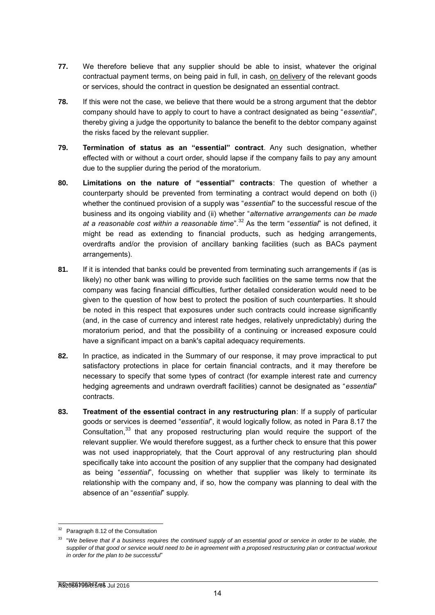- **77.** We therefore believe that any supplier should be able to insist, whatever the original contractual payment terms, on being paid in full, in cash, on delivery of the relevant goods or services, should the contract in question be designated an essential contract.
- **78.** If this were not the case, we believe that there would be a strong argument that the debtor company should have to apply to court to have a contract designated as being "*essential*", thereby giving a judge the opportunity to balance the benefit to the debtor company against the risks faced by the relevant supplier.
- **79. Termination of status as an "essential" contract**. Any such designation, whether effected with or without a court order, should lapse if the company fails to pay any amount due to the supplier during the period of the moratorium.
- **80. Limitations on the nature of "essential" contracts**: The question of whether a counterparty should be prevented from terminating a contract would depend on both (i) whether the continued provision of a supply was "*essential*" to the successful rescue of the business and its ongoing viability and (ii) whether "*alternative arrangements can be made at a reasonable cost within a reasonable time*".<sup>32</sup> As the term "*essential*" is not defined, it might be read as extending to financial products, such as hedging arrangements, overdrafts and/or the provision of ancillary banking facilities (such as BACs payment arrangements).
- **81.** If it is intended that banks could be prevented from terminating such arrangements if (as is likely) no other bank was willing to provide such facilities on the same terms now that the company was facing financial difficulties, further detailed consideration would need to be given to the question of how best to protect the position of such counterparties. It should be noted in this respect that exposures under such contracts could increase significantly (and, in the case of currency and interest rate hedges, relatively unpredictably) during the moratorium period, and that the possibility of a continuing or increased exposure could have a significant impact on a bank's capital adequacy requirements.
- **82.** In practice, as indicated in the Summary of our response, it may prove impractical to put satisfactory protections in place for certain financial contracts, and it may therefore be necessary to specify that some types of contract (for example interest rate and currency hedging agreements and undrawn overdraft facilities) cannot be designated as "*essential*" contracts.
- **83. Treatment of the essential contract in any restructuring plan**: If a supply of particular goods or services is deemed "*essential*", it would logically follow, as noted in Para 8.17 the Consultation, $33$  that any proposed restructuring plan would require the support of the relevant supplier. We would therefore suggest, as a further check to ensure that this power was not used inappropriately, that the Court approval of any restructuring plan should specifically take into account the position of any supplier that the company had designated as being "*essential*", focussing on whether that supplier was likely to terminate its relationship with the company and, if so, how the company was planning to deal with the absence of an "*essential*" supply.

<sup>&</sup>lt;sup>32</sup> Paragraph 8.12 of the Consultation

<sup>33</sup> "*We believe that if a business requires the continued supply of an essential good or service in order to be viable, the*  supplier of that good or service would need to be in agreement with a proposed restructuring plan or contractual workout *in order for the plan to be successful*"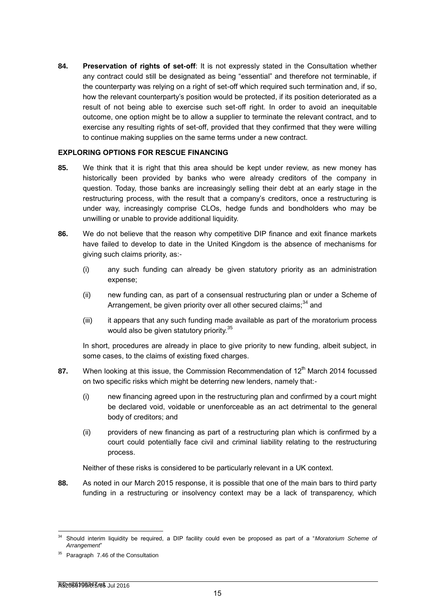**84. Preservation of rights of set-off**: It is not expressly stated in the Consultation whether any contract could still be designated as being "essential" and therefore not terminable, if the counterparty was relying on a right of set-off which required such termination and, if so, how the relevant counterparty's position would be protected, if its position deteriorated as a result of not being able to exercise such set-off right. In order to avoid an inequitable outcome, one option might be to allow a supplier to terminate the relevant contract, and to exercise any resulting rights of set-off, provided that they confirmed that they were willing to continue making supplies on the same terms under a new contract.

#### **EXPLORING OPTIONS FOR RESCUE FINANCING**

- **85.** We think that it is right that this area should be kept under review, as new money has historically been provided by banks who were already creditors of the company in question. Today, those banks are increasingly selling their debt at an early stage in the restructuring process, with the result that a company's creditors, once a restructuring is under way, increasingly comprise CLOs, hedge funds and bondholders who may be unwilling or unable to provide additional liquidity.
- **86.** We do not believe that the reason why competitive DIP finance and exit finance markets have failed to develop to date in the United Kingdom is the absence of mechanisms for giving such claims priority, as:-
	- (i) any such funding can already be given statutory priority as an administration expense;
	- (ii) new funding can, as part of a consensual restructuring plan or under a Scheme of Arrangement, be given priority over all other secured claims;  $34$  and
	- (iii) it appears that any such funding made available as part of the moratorium process would also be given statutory priority.<sup>35</sup>

In short, procedures are already in place to give priority to new funding, albeit subject, in some cases, to the claims of existing fixed charges.

- **87.** When looking at this issue, the Commission Recommendation of 12<sup>th</sup> March 2014 focussed on two specific risks which might be deterring new lenders, namely that:-
	- (i) new financing agreed upon in the restructuring plan and confirmed by a court might be declared void, voidable or unenforceable as an act detrimental to the general body of creditors; and
	- (ii) providers of new financing as part of a restructuring plan which is confirmed by a court could potentially face civil and criminal liability relating to the restructuring process.

Neither of these risks is considered to be particularly relevant in a UK context.

**88.** As noted in our March 2015 response, it is possible that one of the main bars to third party funding in a restructuring or insolvency context may be a lack of transparency, which

<sup>34</sup> Should interim liquidity be required, a DIP facility could even be proposed as part of a "*Moratorium Scheme of Arrangement*"

Paragraph 7.46 of the Consultation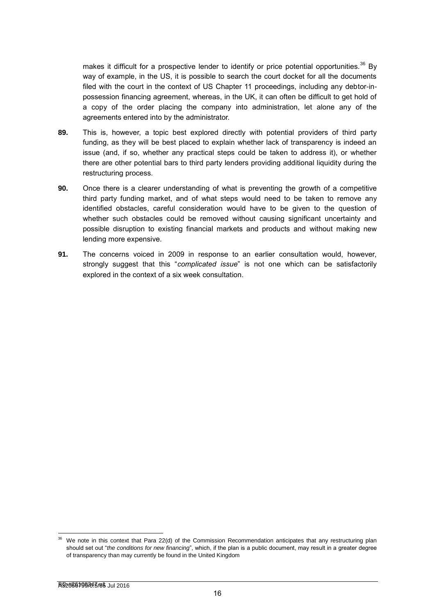makes it difficult for a prospective lender to identify or price potential opportunities.<sup>36</sup> By way of example, in the US, it is possible to search the court docket for all the documents filed with the court in the context of US Chapter 11 proceedings, including any debtor-inpossession financing agreement, whereas, in the UK, it can often be difficult to get hold of a copy of the order placing the company into administration, let alone any of the agreements entered into by the administrator.

- **89.** This is, however, a topic best explored directly with potential providers of third party funding, as they will be best placed to explain whether lack of transparency is indeed an issue (and, if so, whether any practical steps could be taken to address it), or whether there are other potential bars to third party lenders providing additional liquidity during the restructuring process.
- **90.** Once there is a clearer understanding of what is preventing the growth of a competitive third party funding market, and of what steps would need to be taken to remove any identified obstacles, careful consideration would have to be given to the question of whether such obstacles could be removed without causing significant uncertainty and possible disruption to existing financial markets and products and without making new lending more expensive.
- **91.** The concerns voiced in 2009 in response to an earlier consultation would, however, strongly suggest that this "*complicated issue*" is not one which can be satisfactorily explored in the context of a six week consultation.

We note in this context that Para 22(d) of the Commission Recommendation anticipates that any restructuring plan should set out "*the conditions for new financing*", which, if the plan is a public document, may result in a greater degree of transparency than may currently be found in the United Kingdom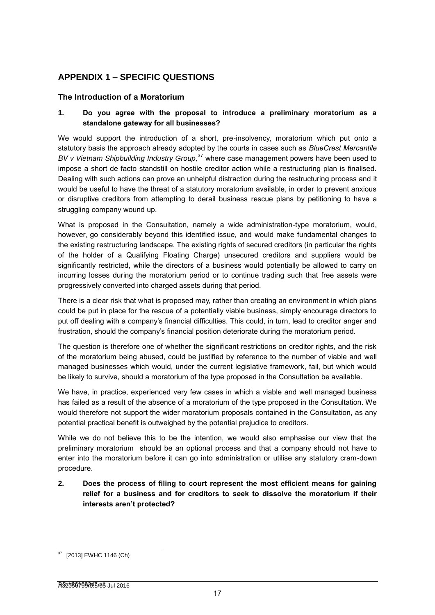# **APPENDIX 1 – SPECIFIC QUESTIONS**

# **The Introduction of a Moratorium**

## **1. Do you agree with the proposal to introduce a preliminary moratorium as a standalone gateway for all businesses?**

We would support the introduction of a short, pre-insolvency, moratorium which put onto a statutory basis the approach already adopted by the courts in cases such as *BlueCrest Mercantile BV v [Vietnam Shipbuilding Industry Group,](http://www.lawtel.com/UK/FullText/AC0138248ChD.pdf)* <sup>37</sup> where case management powers have been used to impose a short de facto standstill on hostile creditor action while a restructuring plan is finalised. Dealing with such actions can prove an unhelpful distraction during the restructuring process and it would be useful to have the threat of a statutory moratorium available, in order to prevent anxious or disruptive creditors from attempting to derail business rescue plans by petitioning to have a struggling company wound up.

What is proposed in the Consultation, namely a wide administration-type moratorium, would, however, go considerably beyond this identified issue, and would make fundamental changes to the existing restructuring landscape. The existing rights of secured creditors (in particular the rights of the holder of a Qualifying Floating Charge) unsecured creditors and suppliers would be significantly restricted, while the directors of a business would potentially be allowed to carry on incurring losses during the moratorium period or to continue trading such that free assets were progressively converted into charged assets during that period.

There is a clear risk that what is proposed may, rather than creating an environment in which plans could be put in place for the rescue of a potentially viable business, simply encourage directors to put off dealing with a company's financial difficulties. This could, in turn, lead to creditor anger and frustration, should the company's financial position deteriorate during the moratorium period.

The question is therefore one of whether the significant restrictions on creditor rights, and the risk of the moratorium being abused, could be justified by reference to the number of viable and well managed businesses which would, under the current legislative framework, fail, but which would be likely to survive, should a moratorium of the type proposed in the Consultation be available.

We have, in practice, experienced very few cases in which a viable and well managed business has failed as a result of the absence of a moratorium of the type proposed in the Consultation. We would therefore not support the wider moratorium proposals contained in the Consultation, as any potential practical benefit is outweighed by the potential prejudice to creditors.

While we do not believe this to be the intention, we would also emphasise our view that the preliminary moratorium should be an optional process and that a company should not have to enter into the moratorium before it can go into administration or utilise any statutory cram-down procedure.

**2. Does the process of filing to court represent the most efficient means for gaining relief for a business and for creditors to seek to dissolve the moratorium if their interests aren't protected?**

<sup>[2013]</sup> EWHC 1146 (Ch)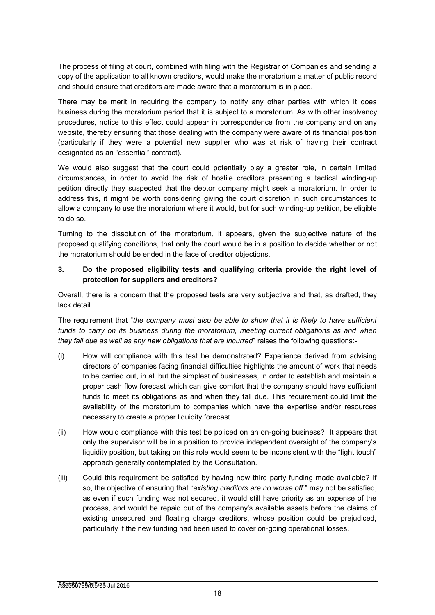The process of filing at court, combined with filing with the Registrar of Companies and sending a copy of the application to all known creditors, would make the moratorium a matter of public record and should ensure that creditors are made aware that a moratorium is in place.

There may be merit in requiring the company to notify any other parties with which it does business during the moratorium period that it is subject to a moratorium. As with other insolvency procedures, notice to this effect could appear in correspondence from the company and on any website, thereby ensuring that those dealing with the company were aware of its financial position (particularly if they were a potential new supplier who was at risk of having their contract designated as an "essential" contract).

We would also suggest that the court could potentially play a greater role, in certain limited circumstances, in order to avoid the risk of hostile creditors presenting a tactical winding-up petition directly they suspected that the debtor company might seek a moratorium. In order to address this, it might be worth considering giving the court discretion in such circumstances to allow a company to use the moratorium where it would, but for such winding-up petition, be eligible to do so.

Turning to the dissolution of the moratorium, it appears, given the subjective nature of the proposed qualifying conditions, that only the court would be in a position to decide whether or not the moratorium should be ended in the face of creditor objections.

#### **3. Do the proposed eligibility tests and qualifying criteria provide the right level of protection for suppliers and creditors?**

Overall, there is a concern that the proposed tests are very subjective and that, as drafted, they lack detail.

The requirement that "*the company must also be able to show that it is likely to have sufficient*  funds to carry on its business during the moratorium, meeting current obligations as and when *they fall due as well as any new obligations that are incurred*" raises the following questions:-

- (i) How will compliance with this test be demonstrated? Experience derived from advising directors of companies facing financial difficulties highlights the amount of work that needs to be carried out, in all but the simplest of businesses, in order to establish and maintain a proper cash flow forecast which can give comfort that the company should have sufficient funds to meet its obligations as and when they fall due. This requirement could limit the availability of the moratorium to companies which have the expertise and/or resources necessary to create a proper liquidity forecast.
- (ii) How would compliance with this test be policed on an on-going business? It appears that only the supervisor will be in a position to provide independent oversight of the company's liquidity position, but taking on this role would seem to be inconsistent with the "light touch" approach generally contemplated by the Consultation.
- (iii) Could this requirement be satisfied by having new third party funding made available? If so, the objective of ensuring that "*existing creditors are no worse off*." may not be satisfied, as even if such funding was not secured, it would still have priority as an expense of the process, and would be repaid out of the company's available assets before the claims of existing unsecured and floating charge creditors, whose position could be prejudiced, particularly if the new funding had been used to cover on-going operational losses.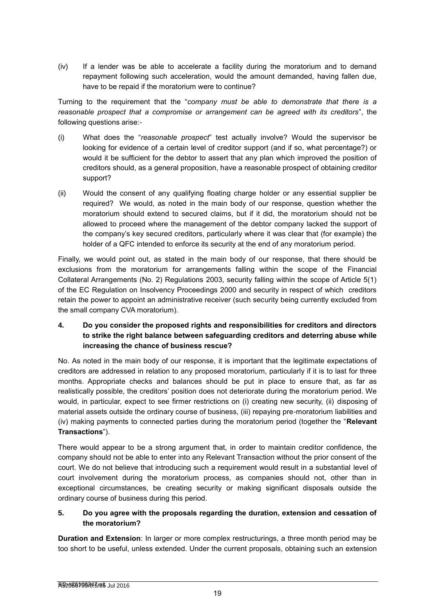(iv) If a lender was be able to accelerate a facility during the moratorium and to demand repayment following such acceleration, would the amount demanded, having fallen due, have to be repaid if the moratorium were to continue?

Turning to the requirement that the "*company must be able to demonstrate that there is a reasonable prospect that a compromise or arrangement can be agreed with its creditors*", the following questions arise:-

- (i) What does the "*reasonable prospect*" test actually involve? Would the supervisor be looking for evidence of a certain level of creditor support (and if so, what percentage?) or would it be sufficient for the debtor to assert that any plan which improved the position of creditors should, as a general proposition, have a reasonable prospect of obtaining creditor support?
- (ii) Would the consent of any qualifying floating charge holder or any essential supplier be required? We would, as noted in the main body of our response, question whether the moratorium should extend to secured claims, but if it did, the moratorium should not be allowed to proceed where the management of the debtor company lacked the support of the company's key secured creditors, particularly where it was clear that (for example) the holder of a QFC intended to enforce its security at the end of any moratorium period.

Finally, we would point out, as stated in the main body of our response, that there should be exclusions from the moratorium for arrangements falling within the scope of the Financial Collateral Arrangements (No. 2) Regulations 2003, security falling within the scope of Article 5(1) of the EC Regulation on Insolvency Proceedings 2000 and security in respect of which creditors retain the power to appoint an administrative receiver (such security being currently excluded from the small company CVA moratorium).

# **4. Do you consider the proposed rights and responsibilities for creditors and directors to strike the right balance between safeguarding creditors and deterring abuse while increasing the chance of business rescue?**

No. As noted in the main body of our response, it is important that the legitimate expectations of creditors are addressed in relation to any proposed moratorium, particularly if it is to last for three months. Appropriate checks and balances should be put in place to ensure that, as far as realistically possible, the creditors' position does not deteriorate during the moratorium period. We would, in particular, expect to see firmer restrictions on (i) creating new security, (ii) disposing of material assets outside the ordinary course of business, (iii) repaying pre-moratorium liabilities and (iv) making payments to connected parties during the moratorium period (together the "**Relevant Transactions**").

There would appear to be a strong argument that, in order to maintain creditor confidence, the company should not be able to enter into any Relevant Transaction without the prior consent of the court. We do not believe that introducing such a requirement would result in a substantial level of court involvement during the moratorium process, as companies should not, other than in exceptional circumstances, be creating security or making significant disposals outside the ordinary course of business during this period.

# **5. Do you agree with the proposals regarding the duration, extension and cessation of the moratorium?**

**Duration and Extension**: In larger or more complex restructurings, a three month period may be too short to be useful, unless extended. Under the current proposals, obtaining such an extension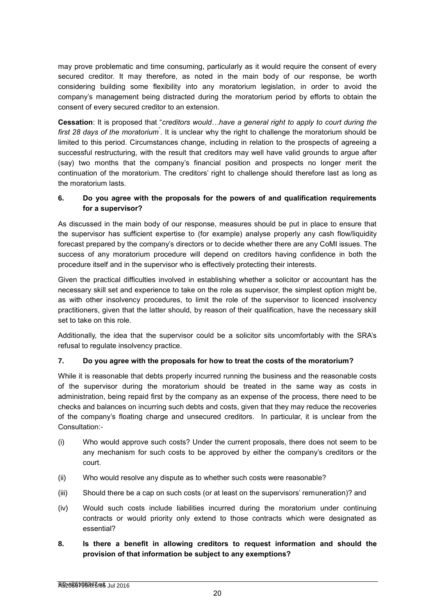may prove problematic and time consuming, particularly as it would require the consent of every secured creditor. It may therefore, as noted in the main body of our response, be worth considering building some flexibility into any moratorium legislation, in order to avoid the company's management being distracted during the moratorium period by efforts to obtain the consent of every secured creditor to an extension.

**Cessation**: It is proposed that "*creditors would…have a general right to apply to court during the*  first 28 days of the moratorium<sup>"</sup>. It is unclear why the right to challenge the moratorium should be limited to this period. Circumstances change, including in relation to the prospects of agreeing a successful restructuring, with the result that creditors may well have valid grounds to argue after (say) two months that the company's financial position and prospects no longer merit the continuation of the moratorium. The creditors' right to challenge should therefore last as long as the moratorium lasts.

## **6. Do you agree with the proposals for the powers of and qualification requirements for a supervisor?**

As discussed in the main body of our response, measures should be put in place to ensure that the supervisor has sufficient expertise to (for example) analyse properly any cash flow/liquidity forecast prepared by the company's directors or to decide whether there are any CoMI issues. The success of any moratorium procedure will depend on creditors having confidence in both the procedure itself and in the supervisor who is effectively protecting their interests.

Given the practical difficulties involved in establishing whether a solicitor or accountant has the necessary skill set and experience to take on the role as supervisor, the simplest option might be, as with other insolvency procedures, to limit the role of the supervisor to licenced insolvency practitioners, given that the latter should, by reason of their qualification, have the necessary skill set to take on this role.

Additionally, the idea that the supervisor could be a solicitor sits uncomfortably with the SRA's refusal to regulate insolvency practice.

## **7. Do you agree with the proposals for how to treat the costs of the moratorium?**

While it is reasonable that debts properly incurred running the business and the reasonable costs of the supervisor during the moratorium should be treated in the same way as costs in administration, being repaid first by the company as an expense of the process, there need to be checks and balances on incurring such debts and costs, given that they may reduce the recoveries of the company's floating charge and unsecured creditors. In particular, it is unclear from the Consultation:-

- (i) Who would approve such costs? Under the current proposals, there does not seem to be any mechanism for such costs to be approved by either the company's creditors or the court.
- (ii) Who would resolve any dispute as to whether such costs were reasonable?
- (iii) Should there be a cap on such costs (or at least on the supervisors' remuneration)? and
- (iv) Would such costs include liabilities incurred during the moratorium under continuing contracts or would priority only extend to those contracts which were designated as essential?
- **8. Is there a benefit in allowing creditors to request information and should the provision of that information be subject to any exemptions?**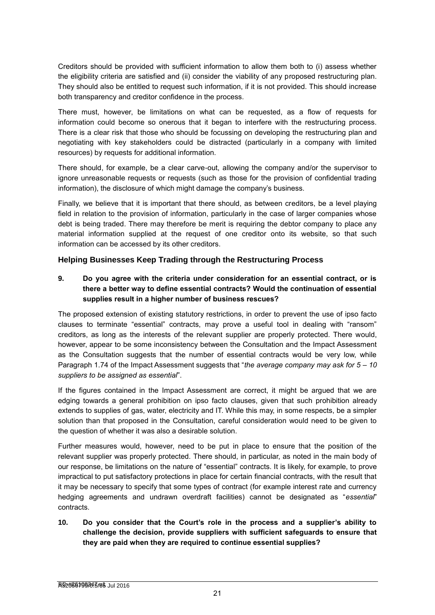Creditors should be provided with sufficient information to allow them both to (i) assess whether the eligibility criteria are satisfied and (ii) consider the viability of any proposed restructuring plan. They should also be entitled to request such information, if it is not provided. This should increase both transparency and creditor confidence in the process.

There must, however, be limitations on what can be requested, as a flow of requests for information could become so onerous that it began to interfere with the restructuring process. There is a clear risk that those who should be focussing on developing the restructuring plan and negotiating with key stakeholders could be distracted (particularly in a company with limited resources) by requests for additional information.

There should, for example, be a clear carve-out, allowing the company and/or the supervisor to ignore unreasonable requests or requests (such as those for the provision of confidential trading information), the disclosure of which might damage the company's business.

Finally, we believe that it is important that there should, as between creditors, be a level playing field in relation to the provision of information, particularly in the case of larger companies whose debt is being traded. There may therefore be merit is requiring the debtor company to place any material information supplied at the request of one creditor onto its website, so that such information can be accessed by its other creditors.

# **Helping Businesses Keep Trading through the Restructuring Process**

# **9. Do you agree with the criteria under consideration for an essential contract, or is there a better way to define essential contracts? Would the continuation of essential supplies result in a higher number of business rescues?**

The proposed extension of existing statutory restrictions, in order to prevent the use of ipso facto clauses to terminate "essential" contracts, may prove a useful tool in dealing with "ransom" creditors, as long as the interests of the relevant supplier are properly protected. There would, however, appear to be some inconsistency between the Consultation and the Impact Assessment as the Consultation suggests that the number of essential contracts would be very low, while Paragraph 1.74 of the Impact Assessment suggests that "*the average company may ask for 5 – 10 suppliers to be assigned as essential*".

If the figures contained in the Impact Assessment are correct, it might be argued that we are edging towards a general prohibition on ipso facto clauses, given that such prohibition already extends to supplies of gas, water, electricity and IT. While this may, in some respects, be a simpler solution than that proposed in the Consultation, careful consideration would need to be given to the question of whether it was also a desirable solution.

Further measures would, however, need to be put in place to ensure that the position of the relevant supplier was properly protected. There should, in particular, as noted in the main body of our response, be limitations on the nature of "essential" contracts. It is likely, for example, to prove impractical to put satisfactory protections in place for certain financial contracts, with the result that it may be necessary to specify that some types of contract (for example interest rate and currency hedging agreements and undrawn overdraft facilities) cannot be designated as "*essential*" contracts.

**10. Do you consider that the Court's role in the process and a supplier's ability to challenge the decision, provide suppliers with sufficient safeguards to ensure that they are paid when they are required to continue essential supplies?**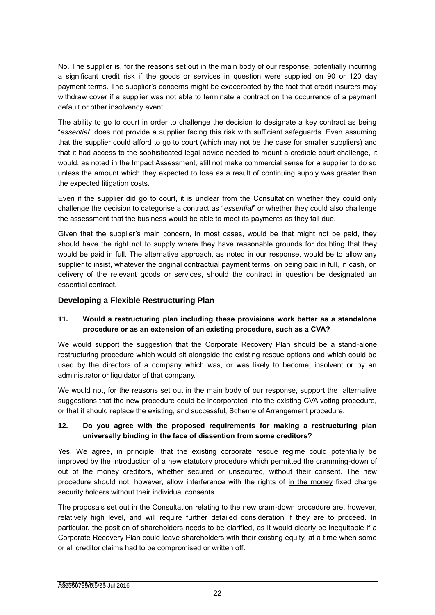No. The supplier is, for the reasons set out in the main body of our response, potentially incurring a significant credit risk if the goods or services in question were supplied on 90 or 120 day payment terms. The supplier's concerns might be exacerbated by the fact that credit insurers may withdraw cover if a supplier was not able to terminate a contract on the occurrence of a payment default or other insolvency event.

The ability to go to court in order to challenge the decision to designate a key contract as being "*essential*" does not provide a supplier facing this risk with sufficient safeguards. Even assuming that the supplier could afford to go to court (which may not be the case for smaller suppliers) and that it had access to the sophisticated legal advice needed to mount a credible court challenge, it would, as noted in the Impact Assessment, still not make commercial sense for a supplier to do so unless the amount which they expected to lose as a result of continuing supply was greater than the expected litigation costs.

Even if the supplier did go to court, it is unclear from the Consultation whether they could only challenge the decision to categorise a contract as "*essential*" or whether they could also challenge the assessment that the business would be able to meet its payments as they fall due.

Given that the supplier's main concern, in most cases, would be that might not be paid, they should have the right not to supply where they have reasonable grounds for doubting that they would be paid in full. The alternative approach, as noted in our response, would be to allow any supplier to insist, whatever the original contractual payment terms, on being paid in full, in cash, on delivery of the relevant goods or services, should the contract in question be designated an essential contract.

# **Developing a Flexible Restructuring Plan**

## **11. Would a restructuring plan including these provisions work better as a standalone procedure or as an extension of an existing procedure, such as a CVA?**

We would support the suggestion that the Corporate Recovery Plan should be a stand-alone restructuring procedure which would sit alongside the existing rescue options and which could be used by the directors of a company which was, or was likely to become, insolvent or by an administrator or liquidator of that company.

We would not, for the reasons set out in the main body of our response, support the alternative suggestions that the new procedure could be incorporated into the existing CVA voting procedure, or that it should replace the existing, and successful, Scheme of Arrangement procedure.

## **12. Do you agree with the proposed requirements for making a restructuring plan universally binding in the face of dissention from some creditors?**

Yes. We agree, in principle, that the existing corporate rescue regime could potentially be improved by the introduction of a new statutory procedure which permitted the cramming-down of out of the money creditors, whether secured or unsecured, without their consent. The new procedure should not, however, allow interference with the rights of in the money fixed charge security holders without their individual consents.

The proposals set out in the Consultation relating to the new cram-down procedure are, however, relatively high level, and will require further detailed consideration if they are to proceed. In particular, the position of shareholders needs to be clarified, as it would clearly be inequitable if a Corporate Recovery Plan could leave shareholders with their existing equity, at a time when some or all creditor claims had to be compromised or written off.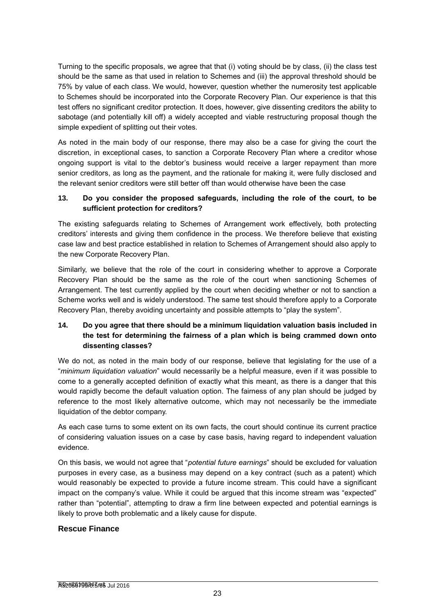Turning to the specific proposals, we agree that that (i) voting should be by class, (ii) the class test should be the same as that used in relation to Schemes and (iii) the approval threshold should be 75% by value of each class. We would, however, question whether the numerosity test applicable to Schemes should be incorporated into the Corporate Recovery Plan. Our experience is that this test offers no significant creditor protection. It does, however, give dissenting creditors the ability to sabotage (and potentially kill off) a widely accepted and viable restructuring proposal though the simple expedient of splitting out their votes.

As noted in the main body of our response, there may also be a case for giving the court the discretion, in exceptional cases, to sanction a Corporate Recovery Plan where a creditor whose ongoing support is vital to the debtor's business would receive a larger repayment than more senior creditors, as long as the payment, and the rationale for making it, were fully disclosed and the relevant senior creditors were still better off than would otherwise have been the case

#### **13. Do you consider the proposed safeguards, including the role of the court, to be sufficient protection for creditors?**

The existing safeguards relating to Schemes of Arrangement work effectively, both protecting creditors' interests and giving them confidence in the process. We therefore believe that existing case law and best practice established in relation to Schemes of Arrangement should also apply to the new Corporate Recovery Plan.

Similarly, we believe that the role of the court in considering whether to approve a Corporate Recovery Plan should be the same as the role of the court when sanctioning Schemes of Arrangement. The test currently applied by the court when deciding whether or not to sanction a Scheme works well and is widely understood. The same test should therefore apply to a Corporate Recovery Plan, thereby avoiding uncertainty and possible attempts to "play the system".

# **14. Do you agree that there should be a minimum liquidation valuation basis included in the test for determining the fairness of a plan which is being crammed down onto dissenting classes?**

We do not, as noted in the main body of our response, believe that legislating for the use of a "*minimum liquidation valuation*" would necessarily be a helpful measure, even if it was possible to come to a generally accepted definition of exactly what this meant, as there is a danger that this would rapidly become the default valuation option. The fairness of any plan should be judged by reference to the most likely alternative outcome, which may not necessarily be the immediate liquidation of the debtor company.

As each case turns to some extent on its own facts, the court should continue its current practice of considering valuation issues on a case by case basis, having regard to independent valuation evidence.

On this basis, we would not agree that "*potential future earnings*" should be excluded for valuation purposes in every case, as a business may depend on a key contract (such as a patent) which would reasonably be expected to provide a future income stream. This could have a significant impact on the company's value. While it could be argued that this income stream was "expected" rather than "potential", attempting to draw a firm line between expected and potential earnings is likely to prove both problematic and a likely cause for dispute.

## **Rescue Finance**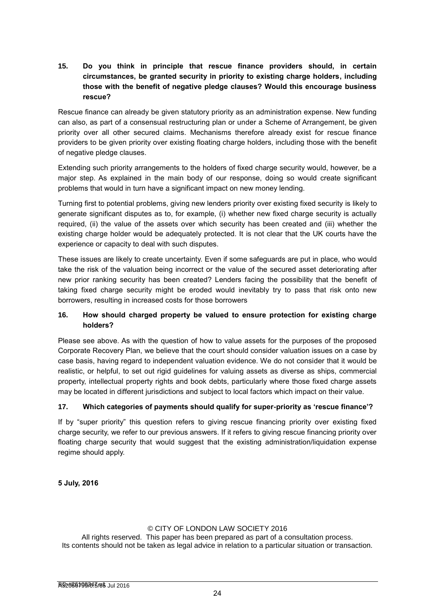# **15. Do you think in principle that rescue finance providers should, in certain circumstances, be granted security in priority to existing charge holders, including those with the benefit of negative pledge clauses? Would this encourage business rescue?**

Rescue finance can already be given statutory priority as an administration expense. New funding can also, as part of a consensual restructuring plan or under a Scheme of Arrangement, be given priority over all other secured claims. Mechanisms therefore already exist for rescue finance providers to be given priority over existing floating charge holders, including those with the benefit of negative pledge clauses.

Extending such priority arrangements to the holders of fixed charge security would, however, be a major step. As explained in the main body of our response, doing so would create significant problems that would in turn have a significant impact on new money lending.

Turning first to potential problems, giving new lenders priority over existing fixed security is likely to generate significant disputes as to, for example, (i) whether new fixed charge security is actually required, (ii) the value of the assets over which security has been created and (iii) whether the existing charge holder would be adequately protected. It is not clear that the UK courts have the experience or capacity to deal with such disputes.

These issues are likely to create uncertainty. Even if some safeguards are put in place, who would take the risk of the valuation being incorrect or the value of the secured asset deteriorating after new prior ranking security has been created? Lenders facing the possibility that the benefit of taking fixed charge security might be eroded would inevitably try to pass that risk onto new borrowers, resulting in increased costs for those borrowers

# **16. How should charged property be valued to ensure protection for existing charge holders?**

Please see above. As with the question of how to value assets for the purposes of the proposed Corporate Recovery Plan, we believe that the court should consider valuation issues on a case by case basis, having regard to independent valuation evidence. We do not consider that it would be realistic, or helpful, to set out rigid guidelines for valuing assets as diverse as ships, commercial property, intellectual property rights and book debts, particularly where those fixed charge assets may be located in different jurisdictions and subject to local factors which impact on their value.

## **17. Which categories of payments should qualify for super-priority as 'rescue finance'?**

If by "super priority" this question refers to giving rescue financing priority over existing fixed charge security, we refer to our previous answers. If it refers to giving rescue financing priority over floating charge security that would suggest that the existing administration/liquidation expense regime should apply.

**5 July, 2016**

#### © CITY OF LONDON LAW SOCIETY 2016

All rights reserved. This paper has been prepared as part of a consultation process. Its contents should not be taken as legal advice in relation to a particular situation or transaction.